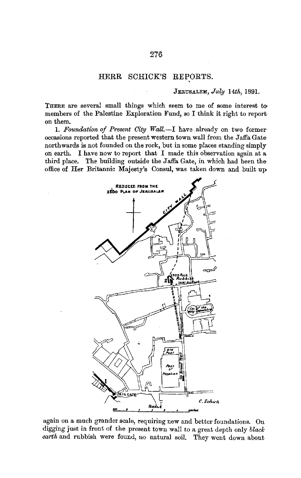## HERR SCHICK'S REPORTS.

## JERUSALEM, *July 14th,* 1891.

THERE are several small things which seem to me of some interest tomembers of the Palestine Exploration Fund, so I think it right to report on them.

1. Foundation of Present City Wall.-I have already on two former occasions reported that the present western town wall from the Jaffa Gate northwards is not founded on the rock, but in some places standing simply on earth. I have now to report that I made this observation again at a third place. The building outside the Jaffa Gate, in which had been the office of Her Britannic Majesty's Consul, was taken down and built up,



again on a much grander scale, requiring new and better foundations. On digging just in front of the present town wall to a great depth only *black*  earth and rubbish were found, no natural soil. They went down about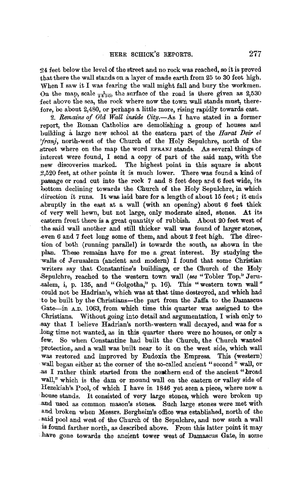24 feet below the level of the street and no rock was reached, so it is proved that there the wall stands on a layer of made earth from 25 to 30 feet high. When I saw it I was fearing the wall might fall and bury the workmen. On the map, scale  $\frac{1}{2500}$ , the surface of the road is there given as 2,530 feet above the sea, the rock where now the town wall stands must, therefore, be about 2,480, or perhaps a little more, rising rapidly towards east.

2. *Remains of Old Wall inside City.-As* I have stated in a former report, the Roman Catholics are demolishing a group of houses and building a large new school at the eastern part of the *Harat Deir el 'franj,* north-west of the Church of the Holy Sepulchre, north of the street where on the map the word EFRANJ stands. As several things of interest were found, I send a copy of part of the said map, with the The highest point in this square is about 2,520 feet, at other points it is much lower. There was found a kind of passage or road cut into the rock 7 and 8 feet deep and 6 feet wide, its lottom declining towards the Church of the Holy Sepulchre, in which direction it runs. It was laid bare for a length of about 15 feet; it ends .a.bruptly in the east at a wall (with an opening) about 6 feet thick -0f very well hewn, but not large, only moderate sized, stones. At its eastern front there is **a** great quantity of rubbish. About 20 feet west of the said wall another and still thicker wall was found of larger stones, even 6 and 7 feet long some of them, and about 2 feet high. The direction of both (running parallel) is towards the south, as shown in the plan. These remains have for me a great interest. By studying the ·walls of Jerusalem (ancient and modern) I found that some Christian writers say that Constantine's buildings, or the Church of the Holy .Sepulchre, reached to the western town wall *(see* "Tobler Top." Jeru salem, i, p. 135, and "Golgotha," p. 16). This "western town wall" could not be Hadrian's, which was at that time destroyed, and which had to be built by the Christians-the part from the Jaffa to the Damascus ·Gate-in A.D. 1063, from which time this quarter was assigned to the Christians. Without going into detail and argumentation, I wish only to .say that I believe Hadrian's north-western wall decayed, and was for a .long time not wanted, as in this quarter there were no houses, or only a few. So when Constantine had built the Church, the Church wanted \_protection, and a wall was built near to it on the west side, which wall was restored and improved by Eudoxia the Empress. This (western) -wall began either at the corner of the so-called ancient "second" wall, or as I rather think started from the nonthern end of the ancient "broad wall," which is the dam or mound wall on the eastern or valley side of Hezekiah's Pool, of which I have in 1846 yet seen a piece, where now a house stands. It consisted of very large stones, which were broken up .and used as common mason's stones. Such large stones were met with and broken when Messrs. Bergheim's office was established, north of the said pool and west of the Church of the Sepulchre, and now such a wall is found farther north, as described above. From this latter point it may have gone towards the ancient tower west of Damascus Gate, in some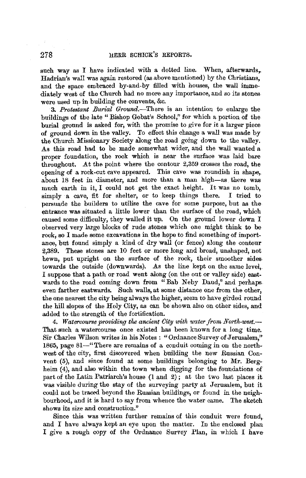such way as I have indicated with a dotted line. When, afterwards, Hadrian's wall was again restored (as above mentioned) by the Christians, and the space embraced by-and-by filled with houses, the wall immediately west of the Church had no more any importance, and so its stones were used up in building the convents, &c.

3. Protestant Burial Ground.-There is an intention to enlarge the buildings of the late " Bishop Gobat's School," for which a portion of the burial ground is asked for, with the promise to give for it a larger piece of ground down in the valley. To effect this change a wall was made by the Church Missionary Society aiong the road going down to the valley. As this road had to be made somewhat wider, and the wall wanted a proper foundation, the rock which is near the surface was laid bare throughout. At the point where the contour  $2,359$  crosses the road, the opening of a rock-cut cave appeared. This cave was roundish in shape,. about 18 feet in diameter, and more than a man high-as there was much earth in it, I could not get the exact height. It was no tomb, simply a cave, fit for shelter, or to keep things there. I tried to persuade the builders to utilise the cave for some purpose, but as the entrance was situated a little lower than the surface of the road, which caused some difficulty, they walled it up. On the ground lower down I observed very large blocks of rude stones which one might think to be rock, so I made some excavations in the hope to find something of importance, but found simply a kind of dry wall (or fence) along the contour 2,389. These stones are 10 feet or more long and broad, unshaped, not hewn, put upright on the surface of the rock, their smoother sides. towards the outside (downwards). As the line kept on the same level, I suppose that a path or road went along (on the out or valley side) eastwards to the road coming down from "Bab Neby Daud," and perhaps even farther eastwards. Such walls, at some distance one from the other, the one nearest the city being always the higher, seem to have girded round the hill slopes of the Holy City, as can be shown also on other sides, and added to the strength of the fortification.

4. Watercourse providing the ancient City with water from North-west.-That such a watercourse once existed has been known for a long time. Sir Charles Wilson writes in his Notes : "Ordnance Survey of Jerusalem," 1865, page 81-"There are remains of a conduit coming in on the northwest of the city, first discovered when building the new Russian Convent (5), and since found at some buildings belonging to Mr. Bergheim (4), and also within the town when digging for the foundations of part of the Latin Patriarch's house (1 and 2) ; at the two last places it was visible during the stay of the surveying party at Jerusalem, but it could not be traced beyond the Russian buildings, or found in the neighbourhood, and it is hard to say from whence the water came. The sketch shows its size and construction."

Since this was written further remains of this conduit were found,. and I have always kept an eye upon the matter. In the enclosed plan I give a rough copy of the Ordnance Survey Plan, in which I have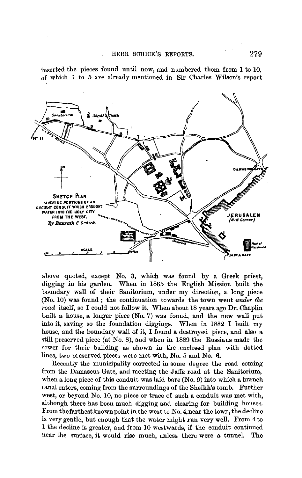inserted the pieces found until now, and numbered them from **1** to 10, of which 1 to 5 are already mentioned in Sir Charles Wilson's report



above quoted, except No. 3, which was found by a Greek priest, digging in his garden. When in 1865 the English Mission built the boundary wall of their Sanitorium, under my direction, a long piece (No. 10) was found; the continuation towards the town went *under the road* itself, so I could not follow it. When about 18 years ago Dr. Chaplin built a house, a longer piece (No. 7) was found, and the new wall put into it, saving so the foundation diggings. When in 1882 I built my house, and the boundary wall of it, I found a destroyed piece, and also a still preserved piece (at No. 8), and when in 1889 the Russians made the sewer for their building as shown in the enclosed plan with dotted lines, two preserved pieces were met with, No. 5 and No. 6.

Recently the municipality corrected in some degree the road coming from the Damascus Gate, and meeting the Jaffa road at the Sanitorium, when a long piece of this conduit was laid bare (No. 9) into which a branch canal enters, coming from the surroundings of the Sheikh's tomb. Further west, or beyond No. 10, no piece or trace of such a conduit was met with, although there has been much digging and clearing for building houses. From the farthest known point in the west to No. 4, near the town, the decline is very gentle, but enough that the water might run very well. From 4 to 1 the decline is greater, and from 10 westwards, if the conduit continued near the surface, it would rise much, unless there were a tunnel. The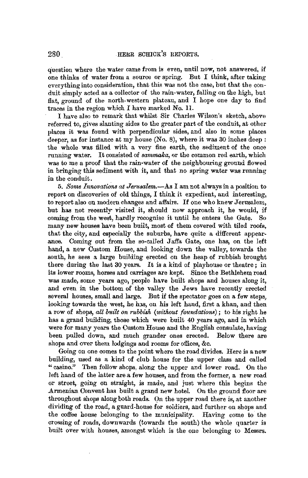question where the water came from is even, until now, not answered, if one thinks of water from a source or spring. But I think, after taking everything into consideration, that this was not the case, but that the conduit simply acted as a collector of the rain-water, falling on the high, but flat, ground of the north-western plateau, and I hope one day to find traces in the region which I have marked No. ll.

I have also to remark that whilst Sir Charles Wilson's sketch, above referred to, gives slanting sides to the greater part of the conduit, at other places it was found with perpendicular sides, and *also* in some places deeper, as for instance at my house (No. 8), where it was 30 inches deep: the whole was filled with a very fine earth, the sediment of the once running water. It consisted of *sammaka*, or the common red earth, which was to me a proof that the rain-water of the neighbouring ground flowed in bringing this sediment with it, and that no spring water was running in the conduit.

5. *Sorne Innovations at Jerusalem.-AB* I am not always in a position to report on discoveries of old things, I think it expedient, and interesting, to report also on modern changes and affairs. If one who knew Jerusalem, but has not recently- visited it, should now approach it, he would, if coming from the west, hardly recognise it until he enters the Gate. So many new houses have been built, most of them covered with tiled roofs, that the city, and especially the suburbs, have quite a different appearance. Coming out from the so-called Jaffa Gate, one has, on the left hand, a new Custom House, and looking down the valley, towards the south, he sees a large building erected on the heap of rubbish brought there during the last 30 years. It is a kind of playhouse or theatre; in its lower rooms, horses and carriages are kept. Since the Bethlehem road was made, some years ago, people have built shops and houses along it, and even in the bottom of the valley the Jews have recently erected several houses, small and large. But if the spectator goes on a few steps, looking towards the west, he has, on his left hand, first a khan, and then a row of shops, *all built on rubbish (without foundations);* to his right he has a grand building, those which were built 40 years ago, and in which were for many years the Custom House and the English consulate, having been pulled down, and much grander ones erected. Below there are shops and over them lodgings and rooms for offices, &c.

Going on one comes to the point where the road divides. Here is a new building, used as a kind of club house for the upper class and called " casino." Then follow shops, along the upper and lower road. On the left hand of the latter are a few houses, and from the former, a new road or street, going on straight, is made, and just where this begins the Armenian Convent has built a grand new hotel. On the ground floor are throughout shops along both roads. On the upper road there is, at another dividing of the road, a guard-house for soldiers, and further on shops and the coffee house belonging to the municipality. Having come to the crossing of roads, downwards (towards the south) the whole quarter is built over with houses, amongst which is the one belonging to Messrs.